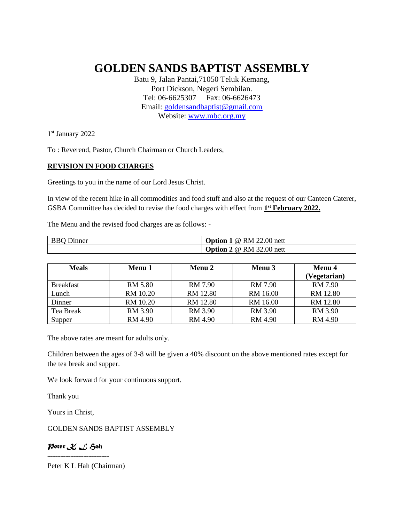## **GOLDEN SANDS BAPTIST ASSEMBLY**

Batu 9, Jalan Pantai,71050 Teluk Kemang, Port Dickson, Negeri Sembilan. Tel: 06-6625307 Fax: 06-6626473 Email: [goldensandbaptist@gmail.com](mailto:goldensandbaptist@gmail.com) Website: [www.mbc.org.my](http://www.mbc.org.my/)

1st January 2022

To : Reverend, Pastor, Church Chairman or Church Leaders,

## **REVISION IN FOOD CHARGES**

Greetings to you in the name of our Lord Jesus Christ.

In view of the recent hike in all commodities and food stuff and also at the request of our Canteen Caterer, GSBA Committee has decided to revise the food charges with effect from 1<sup>st</sup> February 2022.

The Menu and the revised food charges are as follows: -

| <b>BBQ</b> Dinner | <b>Option 1</b> @ RM 22.00 nett        |
|-------------------|----------------------------------------|
|                   | <b>Option 2</b> $\omega$ RM 32.00 nett |

| <b>Meals</b>     | Menu 1   | Menu 2   | Menu 3   | <b>Menu</b> 4  |
|------------------|----------|----------|----------|----------------|
|                  |          |          |          | (Vegetarian)   |
| <b>Breakfast</b> | RM 5.80  | RM 7.90  | RM 7.90  | RM 7.90        |
| Lunch            | RM 10.20 | RM 12.80 | RM 16.00 | RM 12.80       |
| Dinner           | RM 10.20 | RM 12.80 | RM 16.00 | RM 12.80       |
| Tea Break        | RM 3.90  | RM 3.90  | RM 3.90  | RM 3.90        |
| Supper           | RM 4.90  | RM 4.90  | RM 4.90  | <b>RM 4.90</b> |

The above rates are meant for adults only.

Children between the ages of 3-8 will be given a 40% discount on the above mentioned rates except for the tea break and supper.

We look forward for your continuous support.

Thank you

Yours in Christ,

GOLDEN SANDS BAPTIST ASSEMBLY

*Peter K L Hah ------------------------*

Peter K L Hah (Chairman)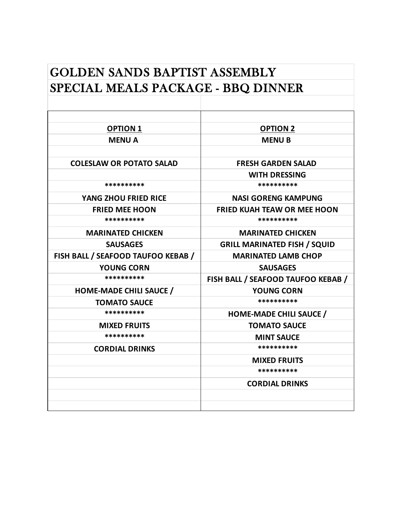## SPECIAL MEALS PACKAGE - BBQ DINNER GOLDEN SANDS BAPTIST ASSEMBLY

| <b>OPTION 1</b>                    | <b>OPTION 2</b>                     |
|------------------------------------|-------------------------------------|
| <b>MENUA</b>                       | <b>MENUB</b>                        |
|                                    |                                     |
| <b>COLESLAW OR POTATO SALAD</b>    | <b>FRESH GARDEN SALAD</b>           |
|                                    | <b>WITH DRESSING</b>                |
| **********                         | **********                          |
| YANG ZHOU FRIED RICE               | <b>NASI GORENG KAMPUNG</b>          |
| <b>FRIED MEE HOON</b>              | <b>FRIED KUAH TEAW OR MEE HOON</b>  |
| **********                         | **********                          |
| <b>MARINATED CHICKEN</b>           | <b>MARINATED CHICKEN</b>            |
| <b>SAUSAGES</b>                    | <b>GRILL MARINATED FISH / SQUID</b> |
| FISH BALL / SEAFOOD TAUFOO KEBAB / | <b>MARINATED LAMB CHOP</b>          |
| <b>YOUNG CORN</b>                  | <b>SAUSAGES</b>                     |
| **********                         | FISH BALL / SEAFOOD TAUFOO KEBAB /  |
| <b>HOME-MADE CHILI SAUCE /</b>     | <b>YOUNG CORN</b>                   |
| <b>TOMATO SAUCE</b>                | **********                          |
| **********                         | <b>HOME-MADE CHILI SAUCE /</b>      |
| <b>MIXED FRUITS</b>                | <b>TOMATO SAUCE</b>                 |
| **********                         | <b>MINT SAUCE</b>                   |
| <b>CORDIAL DRINKS</b>              | **********                          |
|                                    | <b>MIXED FRUITS</b>                 |
|                                    | **********                          |
|                                    | <b>CORDIAL DRINKS</b>               |
|                                    |                                     |
|                                    |                                     |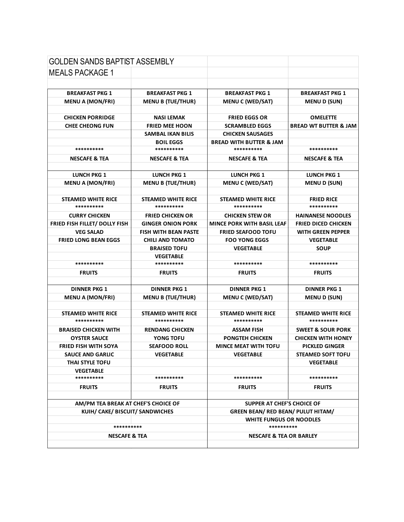| <b>GOLDEN SANDS BAPTIST ASSEMBLY</b> |                             |                                           |                                  |  |
|--------------------------------------|-----------------------------|-------------------------------------------|----------------------------------|--|
| <b>MEALS PACKAGE 1</b>               |                             |                                           |                                  |  |
|                                      |                             |                                           |                                  |  |
| <b>BREAKFAST PKG 1</b>               | <b>BREAKFAST PKG 1</b>      | <b>BREAKFAST PKG 1</b>                    | <b>BREAKFAST PKG 1</b>           |  |
| <b>MENU A (MON/FRI)</b>              | <b>MENU B (TUE/THUR)</b>    | <b>MENU C (WED/SAT)</b>                   | <b>MENU D (SUN)</b>              |  |
|                                      |                             |                                           |                                  |  |
| <b>CHICKEN PORRIDGE</b>              | <b>NASI LEMAK</b>           | <b>FRIED EGGS OR</b>                      | <b>OMELETTE</b>                  |  |
| <b>CHEE CHEONG FUN</b>               | <b>FRIED MEE HOON</b>       | <b>SCRAMBLED EGGS</b>                     | <b>BREAD WT BUTTER &amp; JAM</b> |  |
|                                      | <b>SAMBAL IKAN BILIS</b>    | <b>CHICKEN SAUSAGES</b>                   |                                  |  |
|                                      | <b>BOIL EGGS</b>            | <b>BREAD WITH BUTTER &amp; JAM</b>        |                                  |  |
| **********                           | **********                  | **********                                | **********                       |  |
| <b>NESCAFE &amp; TEA</b>             | <b>NESCAFE &amp; TEA</b>    | <b>NESCAFE &amp; TEA</b>                  | <b>NESCAFE &amp; TEA</b>         |  |
|                                      |                             |                                           |                                  |  |
| <b>LUNCH PKG 1</b>                   | <b>LUNCH PKG 1</b>          | <b>LUNCH PKG 1</b>                        | <b>LUNCH PKG 1</b>               |  |
| <b>MENU A (MON/FRI)</b>              | <b>MENU B (TUE/THUR)</b>    | <b>MENU C (WED/SAT)</b>                   | <b>MENU D (SUN)</b>              |  |
|                                      |                             |                                           |                                  |  |
| <b>STEAMED WHITE RICE</b>            | <b>STEAMED WHITE RICE</b>   | <b>STEAMED WHITE RICE</b>                 | <b>FRIED RICE</b>                |  |
| **********                           | **********                  | **********                                | **********                       |  |
| <b>CURRY CHICKEN</b>                 | <b>FRIED CHICKEN OR</b>     | <b>CHICKEN STEW OR</b>                    | <b>HAINANESE NOODLES</b>         |  |
| FRIED FISH FILLET/ DOLLY FISH        | <b>GINGER ONION PORK</b>    | <b>MINCE PORK WITH BASIL LEAF</b>         | <b>FRIED DICED CHICKEN</b>       |  |
| <b>VEG SALAD</b>                     | <b>FISH WITH BEAN PASTE</b> | <b>FRIED SEAFOOD TOFU</b>                 | <b>WITH GREEN PEPPER</b>         |  |
| <b>FRIED LONG BEAN EGGS</b>          | <b>CHILI AND TOMATO</b>     | <b>FOO YONG EGGS</b>                      | <b>VEGETABLE</b>                 |  |
|                                      | <b>BRAISED TOFU</b>         | <b>VEGETABLE</b>                          | <b>SOUP</b>                      |  |
|                                      | <b>VEGETABLE</b>            |                                           |                                  |  |
| **********                           | **********                  | **********                                | **********                       |  |
| <b>FRUITS</b>                        | <b>FRUITS</b>               | <b>FRUITS</b>                             | <b>FRUITS</b>                    |  |
|                                      |                             |                                           |                                  |  |
| <b>DINNER PKG 1</b>                  | <b>DINNER PKG 1</b>         | <b>DINNER PKG 1</b>                       | <b>DINNER PKG 1</b>              |  |
| <b>MENU A (MON/FRI)</b>              | <b>MENU B (TUE/THUR)</b>    | <b>MENU C (WED/SAT)</b>                   | <b>MENUD (SUN)</b>               |  |
|                                      |                             |                                           |                                  |  |
| <b>STEAMED WHITE RICE</b>            | <b>STEAMED WHITE RICE</b>   | <b>STEAMED WHITE RICE</b>                 | <b>STEAMED WHITE RICE</b>        |  |
| **********                           | **********                  | **********                                | **********                       |  |
| <b>BRAISED CHICKEN WITH</b>          | <b>RENDANG CHICKEN</b>      | <b>ASSAM FISH</b>                         | <b>SWEET &amp; SOUR PORK</b>     |  |
| <b>OYSTER SAUCE</b>                  | YONG TOFU                   | <b>PONGTEH CHICKEN</b>                    | <b>CHICKEN WITH HONEY</b>        |  |
| <b>FRIED FISH WITH SOYA</b>          | <b>SEAFOOD ROLL</b>         | <b>MINCE MEAT WITH TOFU</b>               | <b>PICKLED GINGER</b>            |  |
| <b>SAUCE AND GARLIC</b>              | <b>VEGETABLE</b>            | <b>VEGETABLE</b>                          | <b>STEAMED SOFT TOFU</b>         |  |
| THAI STYLE TOFU                      |                             |                                           | <b>VEGETABLE</b>                 |  |
| <b>VEGETABLE</b>                     |                             |                                           |                                  |  |
| **********                           | **********                  | **********                                | **********                       |  |
| <b>FRUITS</b>                        | <b>FRUITS</b>               | <b>FRUITS</b>                             | <b>FRUITS</b>                    |  |
|                                      |                             |                                           |                                  |  |
| AM/PM TEA BREAK AT CHEF'S CHOICE OF  |                             | SUPPER AT CHEF'S CHOICE OF                |                                  |  |
| KUIH/ CAKE/ BISCUIT/ SANDWICHES      |                             | <b>GREEN BEAN/ RED BEAN/ PULUT HITAM/</b> |                                  |  |
|                                      |                             |                                           | <b>WHITE FUNGUS OR NOODLES</b>   |  |
| **********                           |                             | **********                                |                                  |  |
| <b>NESCAFE &amp; TEA</b>             |                             | <b>NESCAFE &amp; TEA OR BARLEY</b>        |                                  |  |
|                                      |                             |                                           |                                  |  |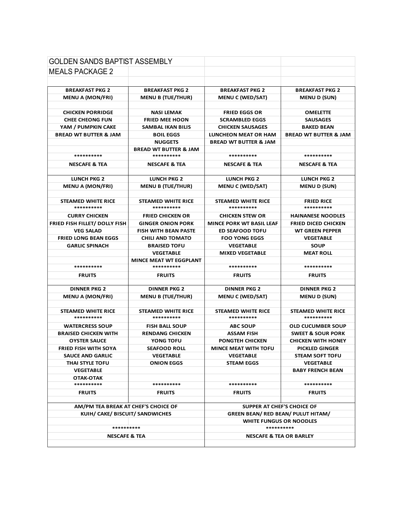| <b>GOLDEN SANDS BAPTIST ASSEMBLY</b>                                   |                                             |                                                                         |                                  |
|------------------------------------------------------------------------|---------------------------------------------|-------------------------------------------------------------------------|----------------------------------|
| <b>MEALS PACKAGE 2</b>                                                 |                                             |                                                                         |                                  |
|                                                                        |                                             |                                                                         |                                  |
| <b>BREAKFAST PKG 2</b>                                                 | <b>BREAKFAST PKG 2</b>                      | <b>BREAKFAST PKG 2</b>                                                  | <b>BREAKFAST PKG 2</b>           |
| <b>MENU A (MON/FRI)</b>                                                | <b>MENU B (TUE/THUR)</b>                    | <b>MENU C (WED/SAT)</b>                                                 | <b>MENU D (SUN)</b>              |
|                                                                        |                                             |                                                                         |                                  |
| <b>CHICKEN PORRIDGE</b>                                                | <b>NASI LEMAK</b>                           | <b>FRIED EGGS OR</b>                                                    | <b>OMELETTE</b>                  |
| <b>CHEE CHEONG FUN</b>                                                 | <b>FRIED MEE HOON</b>                       | <b>SCRAMBLED EGGS</b>                                                   | <b>SAUSAGES</b>                  |
| YAM / PUMPKIN CAKE                                                     | <b>SAMBAL IKAN BILIS</b>                    | <b>CHICKEN SAUSAGES</b>                                                 | <b>BAKED BEAN</b>                |
| <b>BREAD WT BUTTER &amp; JAM</b>                                       | <b>BOIL EGGS</b>                            | <b>LUNCHEON MEAT OR HAM</b>                                             | <b>BREAD WT BUTTER &amp; JAM</b> |
|                                                                        | <b>NUGGETS</b>                              | <b>BREAD WT BUTTER &amp; JAM</b>                                        |                                  |
|                                                                        | <b>BREAD WT BUTTER &amp; JAM</b>            |                                                                         |                                  |
| **********                                                             | **********                                  | **********                                                              | **********                       |
| <b>NESCAFE &amp; TEA</b>                                               | <b>NESCAFE &amp; TEA</b>                    | <b>NESCAFE &amp; TEA</b>                                                | <b>NESCAFE &amp; TEA</b>         |
|                                                                        |                                             |                                                                         |                                  |
| <b>LUNCH PKG 2</b>                                                     | <b>LUNCH PKG 2</b>                          | <b>LUNCH PKG 2</b>                                                      | <b>LUNCH PKG 2</b>               |
| <b>MENU A (MON/FRI)</b>                                                | <b>MENU B (TUE/THUR)</b>                    | <b>MENU C (WED/SAT)</b>                                                 | <b>MENU D (SUN)</b>              |
|                                                                        |                                             |                                                                         |                                  |
| <b>STEAMED WHITE RICE</b>                                              | <b>STEAMED WHITE RICE</b>                   | <b>STEAMED WHITE RICE</b>                                               | <b>FRIED RICE</b>                |
| **********                                                             | **********                                  | **********                                                              | **********                       |
| <b>CURRY CHICKEN</b>                                                   | <b>FRIED CHICKEN OR</b>                     | <b>CHICKEN STEW OR</b>                                                  | <b>HAINANESE NOODLES</b>         |
| FRIED FISH FILLET/ DOLLY FISH                                          | <b>GINGER ONION PORK</b>                    | <b>MINCE PORK WT BASIL LEAF</b>                                         | <b>FRIED DICED CHICKEN</b>       |
| <b>VEG SALAD</b>                                                       | <b>FISH WITH BEAN PASTE</b>                 | <b>ED SEAFOOD TOFU</b>                                                  | <b>WT GREEN PEPPER</b>           |
| <b>FRIED LONG BEAN EGGS</b>                                            | <b>CHILI AND TOMATO</b>                     | <b>FOO YONG EGGS</b>                                                    | <b>VEGETABLE</b>                 |
| <b>GARLIC SPINACH</b>                                                  | <b>BRAISED TOFU</b>                         | <b>VEGETABLE</b>                                                        | <b>SOUP</b>                      |
|                                                                        | <b>VEGETABLE</b>                            | <b>MIXED VEGETABLE</b>                                                  | <b>MEAT ROLL</b>                 |
| **********                                                             | <b>MINCE MEAT WT EGGPLANT</b><br>********** | **********                                                              | **********                       |
|                                                                        |                                             |                                                                         |                                  |
| <b>FRUITS</b>                                                          | <b>FRUITS</b>                               | <b>FRUITS</b>                                                           | <b>FRUITS</b>                    |
| <b>DINNER PKG 2</b>                                                    | <b>DINNER PKG 2</b>                         | <b>DINNER PKG 2</b>                                                     | <b>DINNER PKG 2</b>              |
| <b>MENU A (MON/FRI)</b>                                                | <b>MENU B (TUE/THUR)</b>                    | <b>MENU C (WED/SAT)</b>                                                 | <b>MENU D (SUN)</b>              |
|                                                                        |                                             |                                                                         |                                  |
| <b>STEAMED WHITE RICE</b>                                              | STEAMED WHITE RICE                          | <b>STEAMED WHITE RICE</b>                                               | <b>STEAMED WHITE RICE</b>        |
| **********                                                             | **********                                  | **********                                                              | **********                       |
| <b>WATERCRESS SOUP</b>                                                 | <b>FISH BALL SOUP</b>                       | <b>ABC SOUP</b>                                                         | <b>OLD CUCUMBER SOUP</b>         |
| <b>BRAISED CHICKEN WITH</b>                                            | <b>RENDANG CHICKEN</b>                      | <b>ASSAM FISH</b>                                                       | <b>SWEET &amp; SOUR PORK</b>     |
| <b>OYSTER SAUCE</b>                                                    | YONG TOFU                                   | <b>PONGTEH CHICKEN</b>                                                  | <b>CHICKEN WITH HONEY</b>        |
| <b>FRIED FISH WITH SOYA</b>                                            | <b>SEAFOOD ROLL</b>                         | <b>MINCE MEAT WITH TOFU</b>                                             | <b>PICKLED GINGER</b>            |
| <b>SAUCE AND GARLIC</b>                                                | <b>VEGETABLE</b>                            | <b>VEGETABLE</b>                                                        | <b>STEAM SOFT TOFU</b>           |
| <b>THAI STYLE TOFU</b>                                                 | <b>ONION EGGS</b>                           | <b>STEAM EGGS</b>                                                       | <b>VEGETABLE</b>                 |
| <b>VEGETABLE</b>                                                       |                                             |                                                                         | <b>BABY FRENCH BEAN</b>          |
| OTAK-OTAK                                                              |                                             |                                                                         |                                  |
| **********                                                             | **********                                  | **********                                                              | **********                       |
| <b>FRUITS</b>                                                          | <b>FRUITS</b>                               | <b>FRUITS</b>                                                           | <b>FRUITS</b>                    |
|                                                                        |                                             |                                                                         |                                  |
| AM/PM TEA BREAK AT CHEF'S CHOICE OF<br>KUIH/ CAKE/ BISCUIT/ SANDWICHES |                                             | SUPPER AT CHEF'S CHOICE OF<br><b>GREEN BEAN/ RED BEAN/ PULUT HITAM/</b> |                                  |
|                                                                        |                                             |                                                                         |                                  |
| **********                                                             |                                             | WHITE FUNGUS OR NOODLES<br>**********                                   |                                  |
| <b>NESCAFE &amp; TEA</b>                                               |                                             | <b>NESCAFE &amp; TEA OR BARLEY</b>                                      |                                  |
|                                                                        |                                             |                                                                         |                                  |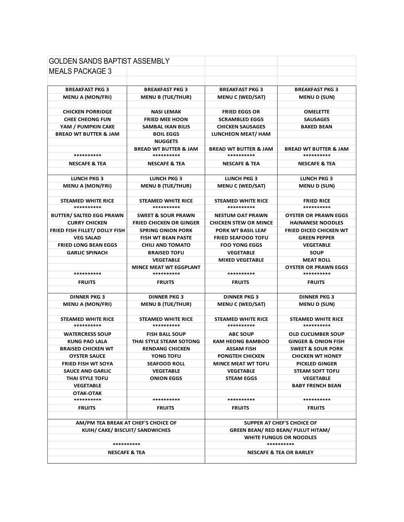| <b>GOLDEN SANDS BAPTIST ASSEMBLY</b> |                                             |                                                   |                                           |
|--------------------------------------|---------------------------------------------|---------------------------------------------------|-------------------------------------------|
| <b>MEALS PACKAGE 3</b>               |                                             |                                                   |                                           |
|                                      |                                             |                                                   |                                           |
| <b>BREAKFAST PKG 3</b>               | <b>BREAKFAST PKG 3</b>                      |                                                   | <b>BREAKFAST PKG 3</b>                    |
| <b>MENU A (MON/FRI)</b>              | <b>MENU B (TUE/THUR)</b>                    | <b>BREAKFAST PKG 3</b><br><b>MENU C (WED/SAT)</b> | <b>MENU D (SUN)</b>                       |
|                                      |                                             |                                                   |                                           |
| <b>CHICKEN PORRIDGE</b>              | <b>NASI LEMAK</b>                           | <b>FRIED EGGS OR</b>                              | <b>OMELETTE</b>                           |
| <b>CHEE CHEONG FUN</b>               | <b>FRIED MEE HOON</b>                       | <b>SCRAMBLED EGGS</b>                             | <b>SAUSAGES</b>                           |
| YAM / PUMPKIN CAKE                   | <b>SAMBAL IKAN BILIS</b>                    | <b>CHICKEN SAUSAGES</b>                           | <b>BAKED BEAN</b>                         |
| <b>BREAD WT BUTTER &amp; JAM</b>     | <b>BOIL EGGS</b>                            | LUNCHEON MEAT/ HAM                                |                                           |
|                                      | <b>NUGGETS</b>                              |                                                   |                                           |
|                                      | <b>BREAD WT BUTTER &amp; JAM</b>            | <b>BREAD WT BUTTER &amp; JAM</b>                  | <b>BREAD WT BUTTER &amp; JAM</b>          |
| **********                           | **********                                  | **********                                        | **********                                |
| <b>NESCAFE &amp; TEA</b>             | <b>NESCAFE &amp; TEA</b>                    | <b>NESCAFE &amp; TEA</b>                          | <b>NESCAFE &amp; TEA</b>                  |
|                                      |                                             |                                                   |                                           |
| <b>LUNCH PKG 3</b>                   | <b>LUNCH PKG 3</b>                          | <b>LUNCH PKG 3</b>                                | <b>LUNCH PKG 3</b>                        |
| <b>MENU A (MON/FRI)</b>              | <b>MENU B (TUE/THUR)</b>                    | <b>MENU C (WED/SAT)</b>                           | <b>MENU D (SUN)</b>                       |
|                                      |                                             |                                                   |                                           |
| STEAMED WHITE RICE                   | STEAMED WHITE RICE                          | STEAMED WHITE RICE                                | <b>FRIED RICE</b>                         |
| **********                           | **********                                  | **********                                        | **********                                |
| <b>BUTTER/ SALTED EGG PRAWN</b>      | <b>SWEET &amp; SOUR PRAWN</b>               | <b>NESTUM OAT PRAWN</b>                           | <b>OYSTER OR PRAWN EGGS</b>               |
| <b>CURRY CHICKEN</b>                 | <b>FRIED CHICKEN OR GINGER</b>              | <b>CHICKEN STEW OR MINCE</b>                      | <b>HAINANESE NOODLES</b>                  |
| FRIED FISH FILLET/ DOLLY FISH        | <b>SPRING ONION PORK</b>                    | PORK WT BASIL LEAF                                | FRIED DICED CHICKEN WT                    |
| <b>VEG SALAD</b>                     | <b>FISH WT BEAN PASTE</b>                   | <b>FRIED SEAFOOD TOFU</b>                         | <b>GREEN PEPPER</b>                       |
| <b>FRIED LONG BEAN EGGS</b>          | <b>CHILI AND TOMATO</b>                     | <b>FOO YONG EGGS</b>                              | <b>VEGETABLE</b>                          |
| <b>GARLIC SPINACH</b>                | <b>BRAISED TOFU</b>                         | <b>VEGETABLE</b>                                  | <b>SOUP</b>                               |
|                                      | <b>VEGETABLE</b>                            | <b>MIXED VEGETABLE</b>                            | <b>MEAT ROLL</b>                          |
| **********                           | <b>MINCE MEAT WT EGGPLANT</b><br>********** | **********                                        | <b>OYSTER OR PRAWN EGGS</b><br>********** |
|                                      |                                             |                                                   |                                           |
| <b>FRUITS</b>                        | <b>FRUITS</b>                               | <b>FRUITS</b>                                     | <b>FRUITS</b>                             |
| <b>DINNER PKG 3</b>                  | <b>DINNER PKG 3</b>                         | <b>DINNER PKG 3</b>                               | <b>DINNER PKG 3</b>                       |
| <b>MENU A (MON/FRI)</b>              | <b>MENU B (TUE/THUR)</b>                    | <b>MENU C (WED/SAT)</b>                           | <b>MENU D (SUN)</b>                       |
|                                      |                                             |                                                   |                                           |
| <b>STEAMED WHITE RICE</b>            | <b>STEAMED WHITE RICE</b>                   | STEAMED WHITE RICE                                | STEAMED WHITE RICE                        |
| **********                           | **********                                  | **********                                        | **********                                |
| <b>WATERCRESS SOUP</b>               | <b>FISH BALL SOUP</b>                       | <b>ABC SOUP</b>                                   | <b>OLD CUCUMBER SOUP</b>                  |
| <b>KUNG PAO LALA</b>                 | THAI STYLE STEAM SOTONG                     | <b>KAM HEONG BAMBOO</b>                           | <b>GINGER &amp; ONION FISH</b>            |
| <b>BRAISED CHICKEN WT</b>            | <b>RENDANG CHICKEN</b>                      | <b>ASSAM FISH</b>                                 | <b>SWEET &amp; SOUR PORK</b>              |
| <b>OYSTER SAUCE</b>                  | YONG TOFU                                   | <b>PONGTEH CHICKEN</b>                            | <b>CHICKEN WT HONEY</b>                   |
| <b>FRIED FISH WT SOYA</b>            | <b>SEAFOOD ROLL</b>                         | <b>MINCE MEAT WT TOFU</b>                         | <b>PICKLED GINGER</b>                     |
| <b>SAUCE AND GARLIC</b>              | <b>VEGETABLE</b>                            | <b>VEGETABLE</b>                                  | <b>STEAM SOFT TOFU</b>                    |
| THAI STYLE TOFU                      | <b>ONION EGGS</b>                           | <b>STEAM EGGS</b>                                 | <b>VEGETABLE</b>                          |
| <b>VEGETABLE</b>                     |                                             |                                                   | <b>BABY FRENCH BEAN</b>                   |
| OTAK-OTAK                            |                                             |                                                   | **********                                |
| **********                           | **********                                  | **********                                        |                                           |
| <b>FRUITS</b>                        | <b>FRUITS</b>                               | <b>FRUITS</b>                                     | <b>FRUITS</b>                             |
|                                      |                                             |                                                   |                                           |
| AM/PM TEA BREAK AT CHEF'S CHOICE OF  |                                             | SUPPER AT CHEF'S CHOICE OF                        |                                           |
| KUIH/ CAKE/ BISCUIT/ SANDWICHES      |                                             | <b>GREEN BEAN/ RED BEAN/ PULUT HITAM/</b>         |                                           |
| **********                           |                                             | <b>WHITE FUNGUS OR NOODLES</b><br>**********      |                                           |
|                                      |                                             |                                                   | <b>NESCAFE &amp; TEA OR BARLEY</b>        |
| <b>NESCAFE &amp; TEA</b>             |                                             |                                                   |                                           |